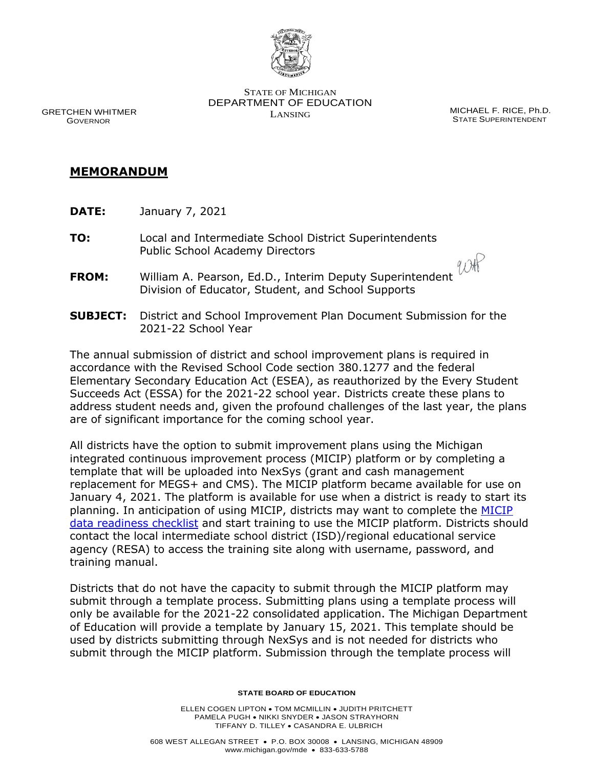

STATE OF MICHIGAN DEPARTMENT OF EDUCATION LANSING MICHAEL F. RICE, Ph.D.

STATE SUPERINTENDENT

 GRETCHEN WHITMER GOVERNOR

## **MEMORANDUM**

- **DATE:** January 7, 2021
- **TO:** Local and Intermediate School District Superintendents Public School Academy Directors
- **FROM:** William A. Pearson, Ed.D., Interim Deputy Superintendent Division of Educator, Student, and School Supports
- **SUBJECT:** District and School Improvement Plan Document Submission for the 2021-22 School Year

The annual submission of district and school improvement plans is required in accordance with the Revised School Code section 380.1277 and the federal Elementary Secondary Education Act (ESEA), as reauthorized by the Every Student Succeeds Act (ESSA) for the 2021-22 school year. Districts create these plans to address student needs and, given the profound challenges of the last year, the plans are of significant importance for the coming school year.

All districts have the option to submit improvement plans using the Michigan integrated continuous improvement process (MICIP) platform or by completing a template that will be uploaded into NexSys (grant and cash management replacement for MEGS+ and CMS). The MICIP platform became available for use on January 4, 2021. The platform is available for use when a district is ready to start its planning. In anticipation of using MICIP, districts may want to complete the MICIP [data readiness checklist](https://docs.google.com/document/d/1KkRWMSTjjG3jcMxK3m9NKkPMSZN3uWV0eMgak0jVAmM/edit) and start training to use the MICIP platform. Districts should contact the local intermediate school district (ISD)/regional educational service agency (RESA) to access the training site along with username, password, and training manual.

Districts that do not have the capacity to submit through the MICIP platform may submit through a template process. Submitting plans using a template process will only be available for the 2021-22 consolidated application. The Michigan Department of Education will provide a template by January 15, 2021. This template should be used by districts submitting through NexSys and is not needed for districts who submit through the MICIP platform. Submission through the template process will

## **STATE BOARD OF EDUCATION**

ELLEN COGEN LIPTON • TOM MCMILLIN • JUDITH PRITCHETT PAMELA PUGH • NIKKI SNYDER • JASON STRAYHORN TIFFANY D. TILLEY • CASANDRA E. ULBRICH